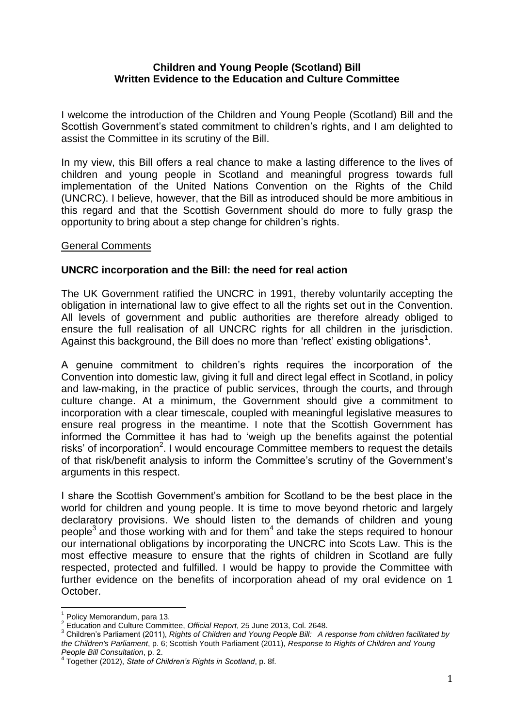#### **Children and Young People (Scotland) Bill Written Evidence to the Education and Culture Committee**

I welcome the introduction of the Children and Young People (Scotland) Bill and the Scottish Government's stated commitment to children's rights, and I am delighted to assist the Committee in its scrutiny of the Bill.

In my view, this Bill offers a real chance to make a lasting difference to the lives of children and young people in Scotland and meaningful progress towards full implementation of the United Nations Convention on the Rights of the Child (UNCRC). I believe, however, that the Bill as introduced should be more ambitious in this regard and that the Scottish Government should do more to fully grasp the opportunity to bring about a step change for children's rights.

#### General Comments

#### **UNCRC incorporation and the Bill: the need for real action**

The UK Government ratified the UNCRC in 1991, thereby voluntarily accepting the obligation in international law to give effect to all the rights set out in the Convention. All levels of government and public authorities are therefore already obliged to ensure the full realisation of all UNCRC rights for all children in the jurisdiction. Against this background, the Bill does no more than 'reflect' existing obligations<sup>1</sup>.

A genuine commitment to children's rights requires the incorporation of the Convention into domestic law, giving it full and direct legal effect in Scotland, in policy and law-making, in the practice of public services, through the courts, and through culture change. At a minimum, the Government should give a commitment to incorporation with a clear timescale, coupled with meaningful legislative measures to ensure real progress in the meantime. I note that the Scottish Government has informed the Committee it has had to 'weigh up the benefits against the potential risks' of incorporation<sup>2</sup>. I would encourage Committee members to request the details of that risk/benefit analysis to inform the Committee's scrutiny of the Government's arguments in this respect.

I share the Scottish Government's ambition for Scotland to be the best place in the world for children and young people. It is time to move beyond rhetoric and largely declaratory provisions. We should listen to the demands of children and young people<sup>3</sup> and those working with and for them<sup>4</sup> and take the steps required to honour our international obligations by incorporating the UNCRC into Scots Law. This is the most effective measure to ensure that the rights of children in Scotland are fully respected, protected and fulfilled. I would be happy to provide the Committee with further evidence on the benefits of incorporation ahead of my oral evidence on 1 October.

 $\overline{a}$ 

 $<sup>1</sup>$  Policy Memorandum, para 13.</sup>

<sup>2</sup> Education and Culture Committee, *Official Report*, 25 June 2013, Col. 2648.

<sup>3</sup> Children's Parliament (2011), *Rights of Children and Young People Bill: A response from children facilitated by the Children's Parliament*, p. 6; Scottish Youth Parliament (2011), *Response to Rights of Children and Young People Bill Consultation*, p. 2.

<sup>4</sup> Together (2012), *State of Children's Rights in Scotland*, p. 8f.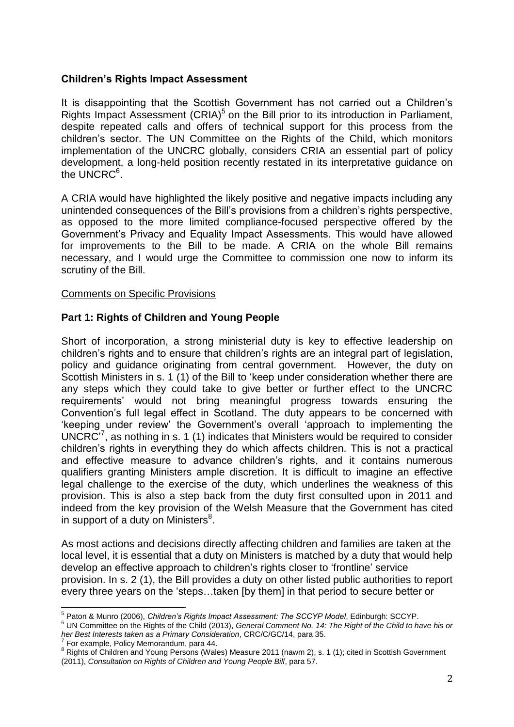## **Children's Rights Impact Assessment**

It is disappointing that the Scottish Government has not carried out a Children's Rights Impact Assessment (CRIA)<sup>5</sup> on the Bill prior to its introduction in Parliament, despite repeated calls and offers of technical support for this process from the children's sector. The UN Committee on the Rights of the Child, which monitors implementation of the UNCRC globally, considers CRIA an essential part of policy development, a long-held position recently restated in its interpretative guidance on the UNCRC $^6$ .

A CRIA would have highlighted the likely positive and negative impacts including any unintended consequences of the Bill's provisions from a children's rights perspective, as opposed to the more limited compliance-focused perspective offered by the Government's Privacy and Equality Impact Assessments. This would have allowed for improvements to the Bill to be made. A CRIA on the whole Bill remains necessary, and I would urge the Committee to commission one now to inform its scrutiny of the Bill.

#### Comments on Specific Provisions

## **Part 1: Rights of Children and Young People**

Short of incorporation, a strong ministerial duty is key to effective leadership on children's rights and to ensure that children's rights are an integral part of legislation, policy and guidance originating from central government. However, the duty on Scottish Ministers in s. 1 (1) of the Bill to 'keep under consideration whether there are any steps which they could take to give better or further effect to the UNCRC requirements' would not bring meaningful progress towards ensuring the Convention's full legal effect in Scotland. The duty appears to be concerned with 'keeping under review' the Government's overall 'approach to implementing the UNCRC $^{7}$ , as nothing in s. 1 (1) indicates that Ministers would be required to consider children's rights in everything they do which affects children. This is not a practical and effective measure to advance children's rights, and it contains numerous qualifiers granting Ministers ample discretion. It is difficult to imagine an effective legal challenge to the exercise of the duty, which underlines the weakness of this provision. This is also a step back from the duty first consulted upon in 2011 and indeed from the key provision of the Welsh Measure that the Government has cited in support of a duty on Ministers $^8$ .

As most actions and decisions directly affecting children and families are taken at the local level, it is essential that a duty on Ministers is matched by a duty that would help develop an effective approach to children's rights closer to 'frontline' service provision. In s. 2 (1), the Bill provides a duty on other listed public authorities to report every three years on the 'steps…taken [by them] in that period to secure better or

 $\overline{\phantom{a}}$ 5 Paton & Munro (2006), *Children's Rights Impact Assessment: The SCCYP Model*, Edinburgh: SCCYP.

<sup>6</sup> UN Committee on the Rights of the Child (2013), *General Comment No. 14: The Right of the Child to have his or her Best Interests taken as a Primary Consideration*, CRC/C/GC/14, para 35. 7 For example, Policy Memorandum, para 44.

<sup>8</sup> Rights of Children and Young Persons (Wales) Measure 2011 (nawm 2), s. 1 (1); cited in Scottish Government (2011), *Consultation on Rights of Children and Young People Bill*, para 57.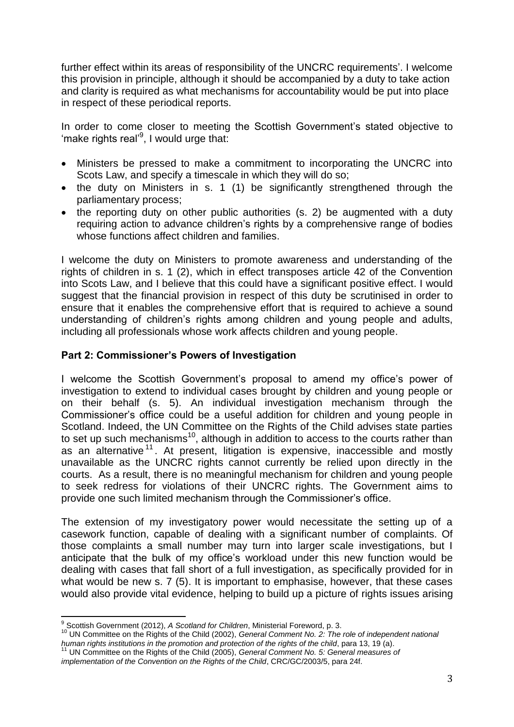further effect within its areas of responsibility of the UNCRC requirements'. I welcome this provision in principle, although it should be accompanied by a duty to take action and clarity is required as what mechanisms for accountability would be put into place in respect of these periodical reports.

In order to come closer to meeting the Scottish Government's stated objective to 'make rights real'<sup>9</sup>, I would urge that:

- Ministers be pressed to make a commitment to incorporating the UNCRC into Scots Law, and specify a timescale in which they will do so;
- the duty on Ministers in s. 1 (1) be significantly strengthened through the parliamentary process;
- the reporting duty on other public authorities (s. 2) be augmented with a duty requiring action to advance children's rights by a comprehensive range of bodies whose functions affect children and families.

I welcome the duty on Ministers to promote awareness and understanding of the rights of children in s. 1 (2), which in effect transposes article 42 of the Convention into Scots Law, and I believe that this could have a significant positive effect. I would suggest that the financial provision in respect of this duty be scrutinised in order to ensure that it enables the comprehensive effort that is required to achieve a sound understanding of children's rights among children and young people and adults, including all professionals whose work affects children and young people.

## **Part 2: Commissioner's Powers of Investigation**

I welcome the Scottish Government's proposal to amend my office's power of investigation to extend to individual cases brought by children and young people or on their behalf (s. 5). An individual investigation mechanism through the Commissioner's office could be a useful addition for children and young people in Scotland. Indeed, the UN Committee on the Rights of the Child advises state parties to set up such mechanisms<sup>10</sup>, although in addition to access to the courts rather than as an alternative<sup>11</sup>. At present, litigation is expensive, inaccessible and mostly unavailable as the UNCRC rights cannot currently be relied upon directly in the courts. As a result, there is no meaningful mechanism for children and young people to seek redress for violations of their UNCRC rights. The Government aims to provide one such limited mechanism through the Commissioner's office.

The extension of my investigatory power would necessitate the setting up of a casework function, capable of dealing with a significant number of complaints. Of those complaints a small number may turn into larger scale investigations, but I anticipate that the bulk of my office's workload under this new function would be dealing with cases that fall short of a full investigation, as specifically provided for in what would be new s. 7 (5). It is important to emphasise, however, that these cases would also provide vital evidence, helping to build up a picture of rights issues arising

 $\overline{\phantom{a}}$ 9 Scottish Government (2012), *A Scotland for Children*, Ministerial Foreword, p. 3.

<sup>10</sup> UN Committee on the Rights of the Child (2002), *General Comment No. 2: The role of independent national human rights institutions in the promotion and protection of the rights of the child*, para 13, 19 (a).

<sup>11</sup> UN Committee on the Rights of the Child (2005), *General Comment No. 5: General measures of* 

*implementation of the Convention on the Rights of the Child*, CRC/GC/2003/5, para 24f.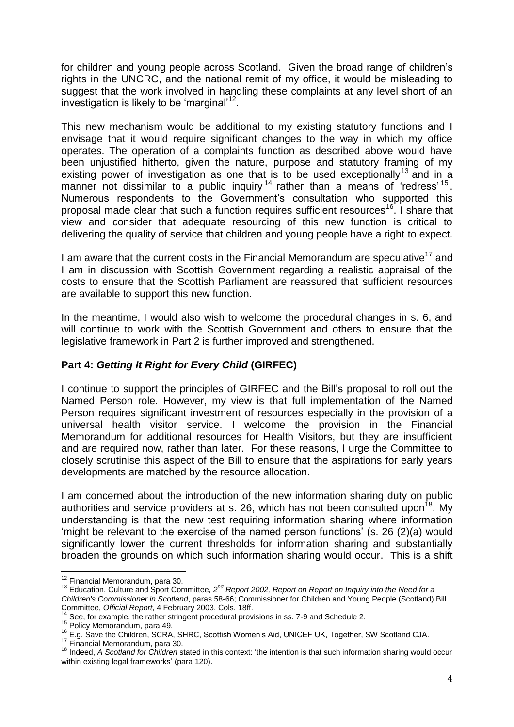for children and young people across Scotland. Given the broad range of children's rights in the UNCRC, and the national remit of my office, it would be misleading to suggest that the work involved in handling these complaints at any level short of an investigation is likely to be 'marginal'<sup>12</sup>.

This new mechanism would be additional to my existing statutory functions and I envisage that it would require significant changes to the way in which my office operates. The operation of a complaints function as described above would have been unjustified hitherto, given the nature, purpose and statutory framing of my existing power of investigation as one that is to be used exceptionally<sup>13</sup> and in a manner not dissimilar to a public inquiry  $14$  rather than a means of 'redress'  $15$ . Numerous respondents to the Government's consultation who supported this proposal made clear that such a function requires sufficient resources<sup>16</sup>. I share that view and consider that adequate resourcing of this new function is critical to delivering the quality of service that children and young people have a right to expect.

I am aware that the current costs in the Financial Memorandum are speculative<sup>17</sup> and I am in discussion with Scottish Government regarding a realistic appraisal of the costs to ensure that the Scottish Parliament are reassured that sufficient resources are available to support this new function.

In the meantime, I would also wish to welcome the procedural changes in s. 6, and will continue to work with the Scottish Government and others to ensure that the legislative framework in Part 2 is further improved and strengthened.

# **Part 4:** *Getting It Right for Every Child* **(GIRFEC)**

I continue to support the principles of GIRFEC and the Bill's proposal to roll out the Named Person role. However, my view is that full implementation of the Named Person requires significant investment of resources especially in the provision of a universal health visitor service. I welcome the provision in the Financial Memorandum for additional resources for Health Visitors, but they are insufficient and are required now, rather than later. For these reasons, I urge the Committee to closely scrutinise this aspect of the Bill to ensure that the aspirations for early years developments are matched by the resource allocation.

I am concerned about the introduction of the new information sharing duty on public authorities and service providers at s. 26, which has not been consulted upon<sup>18</sup>. My understanding is that the new test requiring information sharing where information 'might be relevant to the exercise of the named person functions' (s. 26 (2)(a) would significantly lower the current thresholds for information sharing and substantially broaden the grounds on which such information sharing would occur. This is a shift

 $\overline{a}$  $12$  Financial Memorandum, para 30.

<sup>13</sup> Education, Culture and Sport Committee*, 2nd Report 2002, Report on Report on Inquiry into the Need for a Children's Commissioner in Scotland*, paras 58-66; Commissioner for Children and Young People (Scotland) Bill Committee, *Official Report*, 4 February 2003, Cols. 18ff.

See, for example, the rather stringent procedural provisions in ss. 7-9 and Schedule 2.

<sup>15</sup> Policy Memorandum, para 49.

<sup>16</sup> E.g. Save the Children, SCRA, SHRC, Scottish Women's Aid, UNICEF UK, Together, SW Scotland CJA.

<sup>&</sup>lt;sup>17</sup> Financial Memorandum, para 30.

<sup>18</sup> Indeed, *A Scotland for Children* stated in this context: 'the intention is that such information sharing would occur within existing legal frameworks' (para 120).